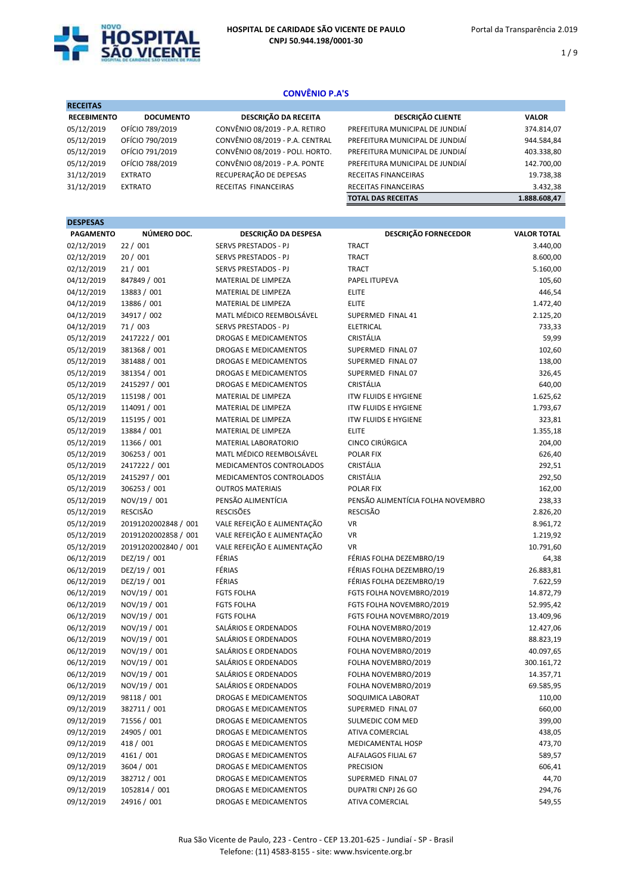

1 / 9

# CONVÊNIO P.A'S

| <b>DOCUMENTO</b> | <b>DESCRIÇÃO DA RECEITA</b>     | <b>DESCRIÇÃO CLIENTE</b>        | <b>VALOR</b> |
|------------------|---------------------------------|---------------------------------|--------------|
| OFÍCIO 789/2019  | CONVÊNIO 08/2019 - P.A. RETIRO  | PREFEITURA MUNICIPAL DE JUNDIAÍ | 374.814,07   |
| OFÍCIO 790/2019  | CONVÊNIO 08/2019 - P.A. CENTRAL | PREFEITURA MUNICIPAL DE JUNDIAÍ | 944.584,84   |
| OFÍCIO 791/2019  | CONVÊNIO 08/2019 - POLI. HORTO. | PREFEITURA MUNICIPAL DE JUNDIAÍ | 403.338,80   |
| OFÍCIO 788/2019  | CONVÊNIO 08/2019 - P.A. PONTE   | PREFEITURA MUNICIPAL DE JUNDIAÍ | 142.700,00   |
| <b>EXTRATO</b>   | RECUPERAÇÃO DE DEPESAS          | <b>RECEITAS FINANCEIRAS</b>     | 19.738,38    |
| <b>EXTRATO</b>   | RECEITAS FINANCEIRAS            | RECEITAS FINANCEIRAS            | 3.432,38     |
|                  |                                 | <b>TOTAL DAS RECEITAS</b>       | 1.888.608,47 |
|                  | <b>RECEBIMENTO</b>              |                                 |              |

| <b>DESPESAS</b>  |                      |                              |                                   |                    |
|------------------|----------------------|------------------------------|-----------------------------------|--------------------|
| <b>PAGAMENTO</b> | NÚMERO DOC.          | DESCRIÇÃO DA DESPESA         | <b>DESCRIÇÃO FORNECEDOR</b>       | <b>VALOR TOTAL</b> |
| 02/12/2019       | 22 / 001             | <b>SERVS PRESTADOS - PJ</b>  | <b>TRACT</b>                      | 3.440,00           |
| 02/12/2019       | 20/001               | SERVS PRESTADOS - PJ         | <b>TRACT</b>                      | 8.600,00           |
| 02/12/2019       | 21/001               | SERVS PRESTADOS - PJ         | <b>TRACT</b>                      | 5.160,00           |
| 04/12/2019       | 847849 / 001         | MATERIAL DE LIMPEZA          | PAPEL ITUPEVA                     | 105,60             |
| 04/12/2019       | 13883 / 001          | MATERIAL DE LIMPEZA          | <b>ELITE</b>                      | 446,54             |
| 04/12/2019       | 13886 / 001          | MATERIAL DE LIMPEZA          | <b>ELITE</b>                      | 1.472,40           |
| 04/12/2019       | 34917 / 002          | MATL MÉDICO REEMBOLSÁVEL     | SUPERMED FINAL 41                 | 2.125,20           |
| 04/12/2019       | 71 / 003             | SERVS PRESTADOS - PJ         | <b>ELETRICAL</b>                  | 733,33             |
| 05/12/2019       | 2417222 / 001        | DROGAS E MEDICAMENTOS        | <b>CRISTÁLIA</b>                  | 59,99              |
| 05/12/2019       | 381368 / 001         | <b>DROGAS E MEDICAMENTOS</b> | SUPERMED FINAL 07                 | 102,60             |
| 05/12/2019       | 381488 / 001         | <b>DROGAS E MEDICAMENTOS</b> | SUPERMED FINAL 07                 | 138,00             |
| 05/12/2019       | 381354 / 001         | <b>DROGAS E MEDICAMENTOS</b> | SUPERMED FINAL 07                 | 326,45             |
| 05/12/2019       | 2415297 / 001        | DROGAS E MEDICAMENTOS        | CRISTÁLIA                         | 640,00             |
| 05/12/2019       | 115198 / 001         | MATERIAL DE LIMPEZA          | <b>ITW FLUIDS E HYGIENE</b>       | 1.625,62           |
| 05/12/2019       | 114091 / 001         | MATERIAL DE LIMPEZA          | <b>ITW FLUIDS E HYGIENE</b>       | 1.793,67           |
| 05/12/2019       | 115195 / 001         | MATERIAL DE LIMPEZA          | <b>ITW FLUIDS E HYGIENE</b>       | 323,81             |
| 05/12/2019       | 13884 / 001          | MATERIAL DE LIMPEZA          | <b>ELITE</b>                      | 1.355,18           |
| 05/12/2019       | 11366 / 001          | MATERIAL LABORATORIO         | CINCO CIRÚRGICA                   | 204,00             |
| 05/12/2019       | 306253 / 001         | MATL MÉDICO REEMBOLSÁVEL     | POLAR FIX                         | 626,40             |
| 05/12/2019       | 2417222 / 001        | MEDICAMENTOS CONTROLADOS     | CRISTÁLIA                         | 292,51             |
| 05/12/2019       | 2415297 / 001        | MEDICAMENTOS CONTROLADOS     | CRISTÁLIA                         | 292,50             |
| 05/12/2019       | 306253 / 001         | <b>OUTROS MATERIAIS</b>      | <b>POLAR FIX</b>                  | 162,00             |
| 05/12/2019       | NOV/19 / 001         | PENSÃO ALIMENTÍCIA           | PENSÃO ALIMENTÍCIA FOLHA NOVEMBRO | 238,33             |
| 05/12/2019       | <b>RESCISÃO</b>      | <b>RESCISÕES</b>             | <b>RESCISÃO</b>                   | 2.826,20           |
| 05/12/2019       | 20191202002848 / 001 | VALE REFEIÇÃO E ALIMENTAÇÃO  | <b>VR</b>                         | 8.961,72           |
| 05/12/2019       | 20191202002858 / 001 | VALE REFEIÇÃO E ALIMENTAÇÃO  | <b>VR</b>                         | 1.219,92           |
| 05/12/2019       | 20191202002840 / 001 | VALE REFEIÇÃO E ALIMENTAÇÃO  | VR                                | 10.791,60          |
| 06/12/2019       | DEZ/19 / 001         | FÉRIAS                       | FÉRIAS FOLHA DEZEMBRO/19          | 64,38              |
| 06/12/2019       | DEZ/19 / 001         | FÉRIAS                       | FÉRIAS FOLHA DEZEMBRO/19          | 26.883,81          |
| 06/12/2019       | DEZ/19 / 001         | FÉRIAS                       | FÉRIAS FOLHA DEZEMBRO/19          | 7.622,59           |
| 06/12/2019       | NOV/19 / 001         | <b>FGTS FOLHA</b>            | FGTS FOLHA NOVEMBRO/2019          | 14.872,79          |
| 06/12/2019       | NOV/19 / 001         | <b>FGTS FOLHA</b>            | FGTS FOLHA NOVEMBRO/2019          | 52.995,42          |
| 06/12/2019       | NOV/19 / 001         | <b>FGTS FOLHA</b>            | FGTS FOLHA NOVEMBRO/2019          | 13.409,96          |
| 06/12/2019       | NOV/19 / 001         | SALÁRIOS E ORDENADOS         | FOLHA NOVEMBRO/2019               | 12.427,06          |
| 06/12/2019       | NOV/19 / 001         | SALÁRIOS E ORDENADOS         | FOLHA NOVEMBRO/2019               | 88.823,19          |
| 06/12/2019       | NOV/19 / 001         | SALÁRIOS E ORDENADOS         | FOLHA NOVEMBRO/2019               | 40.097,65          |
| 06/12/2019       | NOV/19 / 001         | SALÁRIOS E ORDENADOS         | FOLHA NOVEMBRO/2019               | 300.161,72         |
| 06/12/2019       | NOV/19 / 001         | SALÁRIOS E ORDENADOS         | FOLHA NOVEMBRO/2019               | 14.357,71          |
| 06/12/2019       | NOV/19 / 001         | SALÁRIOS E ORDENADOS         | FOLHA NOVEMBRO/2019               | 69.585,95          |
| 09/12/2019       | 98118 / 001          | <b>DROGAS E MEDICAMENTOS</b> | SOQUIMICA LABORAT                 | 110,00             |
| 09/12/2019       | 382711 / 001         | DROGAS E MEDICAMENTOS        | SUPERMED FINAL 07                 | 660,00             |
| 09/12/2019       | 71556 / 001          | DROGAS E MEDICAMENTOS        | SULMEDIC COM MED                  | 399,00             |
| 09/12/2019       | 24905 / 001          | DROGAS E MEDICAMENTOS        | ATIVA COMERCIAL                   | 438,05             |
| 09/12/2019       | 418 / 001            | DROGAS E MEDICAMENTOS        | MEDICAMENTAL HOSP                 | 473,70             |
| 09/12/2019       | 4161 / 001           | DROGAS E MEDICAMENTOS        | ALFALAGOS FILIAL 67               | 589,57             |
| 09/12/2019       | 3604 / 001           | DROGAS E MEDICAMENTOS        | <b>PRECISION</b>                  | 606,41             |
| 09/12/2019       | 382712 / 001         | DROGAS E MEDICAMENTOS        | SUPERMED FINAL 07                 | 44,70              |
| 09/12/2019       | 1052814 / 001        | DROGAS E MEDICAMENTOS        | DUPATRI CNPJ 26 GO                | 294,76             |
| 09/12/2019       | 24916 / 001          | DROGAS E MEDICAMENTOS        | ATIVA COMERCIAL                   | 549,55             |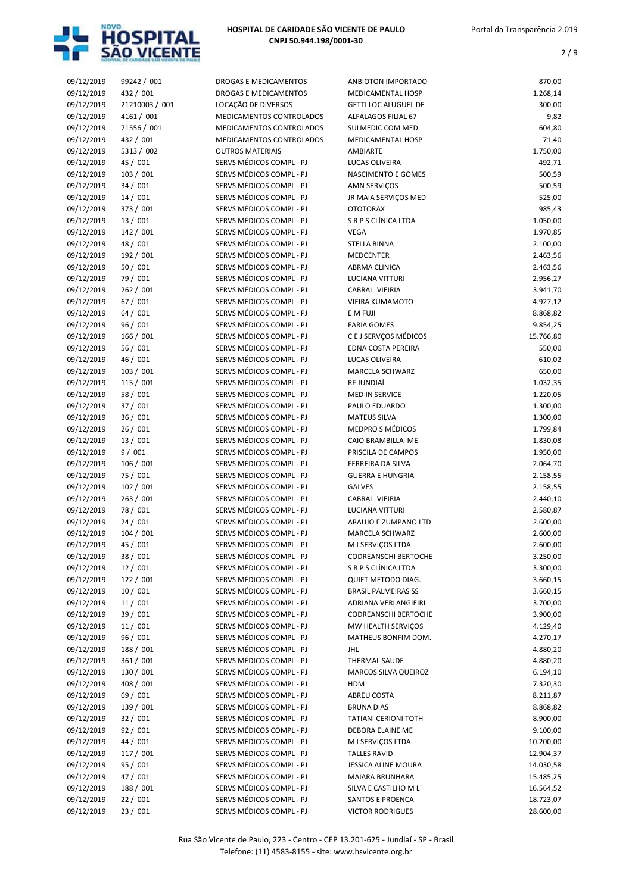

| 09/12/2019 | 99242 / 001    | DROGAS E MEDICAMENTOS    | ANBIOTON IMPORTADO          | 870,00    |
|------------|----------------|--------------------------|-----------------------------|-----------|
| 09/12/2019 | 432 / 001      | DROGAS E MEDICAMENTOS    | MEDICAMENTAL HOSP           | 1.268,14  |
| 09/12/2019 | 21210003 / 001 | LOCAÇÃO DE DIVERSOS      | <b>GETTI LOC ALUGUEL DE</b> | 300,00    |
| 09/12/2019 | 4161 / 001     | MEDICAMENTOS CONTROLADOS | ALFALAGOS FILIAL 67         | 9,82      |
| 09/12/2019 | 71556 / 001    | MEDICAMENTOS CONTROLADOS | SULMEDIC COM MED            | 604,80    |
| 09/12/2019 | 432 / 001      | MEDICAMENTOS CONTROLADOS | MEDICAMENTAL HOSP           | 71,40     |
| 09/12/2019 | 5313 / 002     | <b>OUTROS MATERIAIS</b>  | AMBIARTE                    | 1.750,00  |
| 09/12/2019 | 45 / 001       | SERVS MÉDICOS COMPL - PJ | LUCAS OLIVEIRA              | 492,71    |
| 09/12/2019 | 103 / 001      | SERVS MÉDICOS COMPL - PJ | NASCIMENTO E GOMES          | 500,59    |
| 09/12/2019 | 34 / 001       | SERVS MÉDICOS COMPL - PJ | AMN SERVIÇOS                | 500,59    |
| 09/12/2019 | 14/001         | SERVS MÉDICOS COMPL - PJ | JR MAIA SERVIÇOS MED        | 525,00    |
| 09/12/2019 | 373 / 001      | SERVS MÉDICOS COMPL - PJ | <b>OTOTORAX</b>             | 985,43    |
| 09/12/2019 | 13 / 001       | SERVS MÉDICOS COMPL - PJ | S R P S CLÍNICA LTDA        | 1.050,00  |
| 09/12/2019 | 142 / 001      | SERVS MÉDICOS COMPL - PJ | <b>VEGA</b>                 | 1.970,85  |
| 09/12/2019 | 48 / 001       | SERVS MÉDICOS COMPL - PJ | <b>STELLA BINNA</b>         | 2.100,00  |
| 09/12/2019 | 192 / 001      | SERVS MÉDICOS COMPL - PJ | <b>MEDCENTER</b>            | 2.463,56  |
| 09/12/2019 | 50/001         | SERVS MÉDICOS COMPL - PJ | ABRMA CLINICA               | 2.463,56  |
| 09/12/2019 | 79 / 001       | SERVS MÉDICOS COMPL - PJ | LUCIANA VITTURI             | 2.956,27  |
| 09/12/2019 | 262 / 001      | SERVS MÉDICOS COMPL - PJ | CABRAL VIEIRIA              | 3.941,70  |
| 09/12/2019 | 67 / 001       | SERVS MÉDICOS COMPL - PJ | VIEIRA KUMAMOTO             | 4.927,12  |
| 09/12/2019 | 64 / 001       | SERVS MÉDICOS COMPL - PJ | E M FUJI                    | 8.868,82  |
| 09/12/2019 | 96 / 001       | SERVS MÉDICOS COMPL - PJ | <b>FARIA GOMES</b>          | 9.854,25  |
| 09/12/2019 | 166 / 001      | SERVS MÉDICOS COMPL - PJ | C E J SERVÇOS MÉDICOS       | 15.766,80 |
| 09/12/2019 | 56 / 001       | SERVS MÉDICOS COMPL - PJ | EDNA COSTA PEREIRA          | 550,00    |
| 09/12/2019 | 46 / 001       | SERVS MÉDICOS COMPL - PJ | LUCAS OLIVEIRA              | 610,02    |
| 09/12/2019 | 103 / 001      | SERVS MÉDICOS COMPL - PJ | MARCELA SCHWARZ             | 650,00    |
| 09/12/2019 | 115 / 001      | SERVS MÉDICOS COMPL - PJ | RF JUNDIAÍ                  | 1.032,35  |
| 09/12/2019 | 58 / 001       | SERVS MÉDICOS COMPL - PJ | <b>MED IN SERVICE</b>       | 1.220,05  |
| 09/12/2019 | 37 / 001       | SERVS MÉDICOS COMPL - PJ | PAULO EDUARDO               | 1.300,00  |
| 09/12/2019 | 36/001         | SERVS MÉDICOS COMPL - PJ | <b>MATEUS SILVA</b>         | 1.300,00  |
| 09/12/2019 | 26/001         | SERVS MÉDICOS COMPL - PJ | MEDPRO S MÉDICOS            | 1.799,84  |
| 09/12/2019 | 13 / 001       | SERVS MÉDICOS COMPL - PJ | CAIO BRAMBILLA ME           | 1.830,08  |
| 09/12/2019 | 9/001          | SERVS MÉDICOS COMPL - PJ | PRISCILA DE CAMPOS          | 1.950,00  |
| 09/12/2019 | 106 / 001      | SERVS MÉDICOS COMPL - PJ | FERREIRA DA SILVA           | 2.064,70  |
| 09/12/2019 | 75 / 001       | SERVS MÉDICOS COMPL - PJ | <b>GUERRA E HUNGRIA</b>     | 2.158,55  |
| 09/12/2019 | 102 / 001      | SERVS MÉDICOS COMPL - PJ | <b>GALVES</b>               | 2.158,55  |
| 09/12/2019 | 263 / 001      | SERVS MÉDICOS COMPL - PJ | CABRAL VIEIRIA              | 2.440,10  |
| 09/12/2019 | 78 / 001       | SERVS MÉDICOS COMPL - PJ | <b>LUCIANA VITTURI</b>      | 2.580,87  |
| 09/12/2019 | 24/001         | SERVS MÉDICOS COMPL - PJ | ARAUJO E ZUMPANO LTD        | 2.600,00  |
| 09/12/2019 | 104/001        | SERVS MÉDICOS COMPL - PJ | MARCELA SCHWARZ             | 2.600,00  |
| 09/12/2019 | 45 / 001       | SERVS MÉDICOS COMPL - PJ | M I SERVIÇOS LTDA           | 2.600,00  |
| 09/12/2019 | 38 / 001       | SERVS MÉDICOS COMPL - PJ | CODREANSCHI BERTOCHE        | 3.250,00  |
| 09/12/2019 | 12 / 001       | SERVS MÉDICOS COMPL - PJ | S R P S CLÍNICA LTDA        | 3.300,00  |
| 09/12/2019 | 122 / 001      | SERVS MÉDICOS COMPL - PJ | QUIET METODO DIAG.          | 3.660,15  |
| 09/12/2019 | 10/001         | SERVS MÉDICOS COMPL - PJ | <b>BRASIL PALMEIRAS SS</b>  | 3.660,15  |
| 09/12/2019 | 11/001         | SERVS MÉDICOS COMPL - PJ | <b>ADRIANA VERLANGIEIRI</b> | 3.700,00  |
| 09/12/2019 | 39 / 001       | SERVS MÉDICOS COMPL - PJ | <b>CODREANSCHI BERTOCHE</b> | 3.900,00  |
| 09/12/2019 | 11/001         | SERVS MÉDICOS COMPL - PJ | MW HEALTH SERVIÇOS          | 4.129,40  |
| 09/12/2019 | 96 / 001       | SERVS MÉDICOS COMPL - PJ | MATHEUS BONFIM DOM.         | 4.270,17  |
| 09/12/2019 | 188 / 001      | SERVS MÉDICOS COMPL - PJ | JHL                         | 4.880,20  |
| 09/12/2019 | 361 / 001      | SERVS MÉDICOS COMPL - PJ | THERMAL SAUDE               | 4.880,20  |
| 09/12/2019 | 130 / 001      | SERVS MÉDICOS COMPL - PJ | MARCOS SILVA QUEIROZ        | 6.194,10  |
| 09/12/2019 | 408 / 001      | SERVS MÉDICOS COMPL - PJ | HDM                         | 7.320,30  |
| 09/12/2019 | 69 / 001       | SERVS MÉDICOS COMPL - PJ | ABREU COSTA                 | 8.211,87  |
| 09/12/2019 | 139 / 001      | SERVS MÉDICOS COMPL - PJ | BRUNA DIAS                  | 8.868,82  |
| 09/12/2019 | 32/001         | SERVS MÉDICOS COMPL - PJ | <b>TATIANI CERIONI TOTH</b> | 8.900,00  |
| 09/12/2019 | 92 / 001       | SERVS MÉDICOS COMPL - PJ | DEBORA ELAINE ME            | 9.100,00  |
| 09/12/2019 | 44 / 001       | SERVS MÉDICOS COMPL - PJ | M I SERVIÇOS LTDA           | 10.200,00 |
| 09/12/2019 | 117 / 001      | SERVS MÉDICOS COMPL - PJ | <b>TALLES RAVID</b>         | 12.904,37 |
| 09/12/2019 | 95 / 001       | SERVS MÉDICOS COMPL - PJ | JESSICA ALINE MOURA         | 14.030,58 |
| 09/12/2019 | 47 / 001       | SERVS MÉDICOS COMPL - PJ | MAIARA BRUNHARA             | 15.485,25 |
| 09/12/2019 | 188 / 001      | SERVS MÉDICOS COMPL - PJ | SILVA E CASTILHO M L        | 16.564,52 |
| 09/12/2019 | 22 / 001       | SERVS MÉDICOS COMPL - PJ | SANTOS E PROENCA            | 18.723,07 |
| 09/12/2019 | 23 / 001       | SERVS MÉDICOS COMPL - PJ | <b>VICTOR RODRIGUES</b>     | 28.600,00 |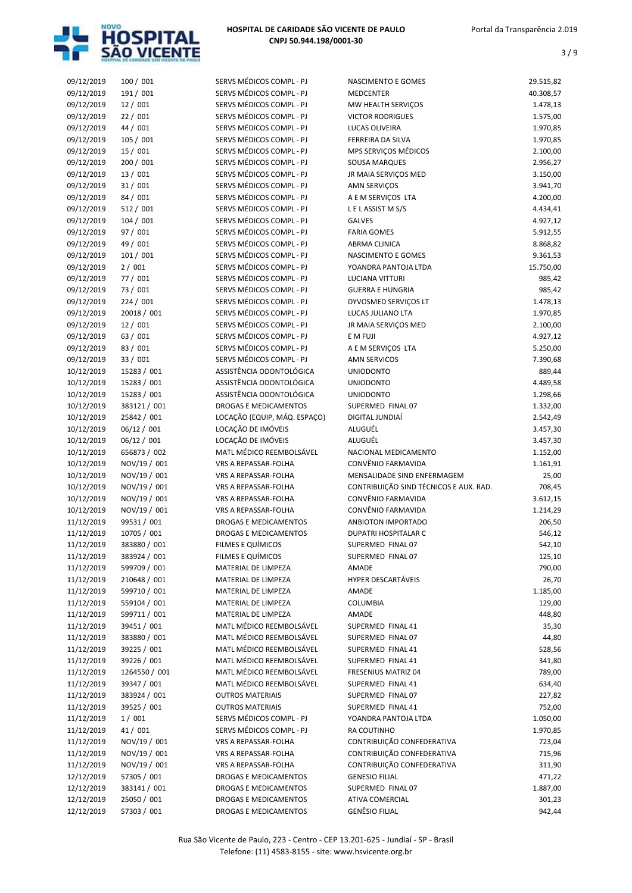

| 09/12/2019 | 100 / 001     | SERVS MÉDICOS COMPL - PJ     | NASCIMENTO E GOMES                     | 29.515,82 |
|------------|---------------|------------------------------|----------------------------------------|-----------|
| 09/12/2019 | 191 / 001     | SERVS MÉDICOS COMPL - PJ     | <b>MEDCENTER</b>                       | 40.308,57 |
| 09/12/2019 | 12 / 001      | SERVS MÉDICOS COMPL - PJ     | MW HEALTH SERVIÇOS                     | 1.478,13  |
| 09/12/2019 | 22/001        | SERVS MÉDICOS COMPL - PJ     | <b>VICTOR RODRIGUES</b>                | 1.575,00  |
| 09/12/2019 | 44 / 001      | SERVS MÉDICOS COMPL - PJ     | LUCAS OLIVEIRA                         | 1.970,85  |
| 09/12/2019 | 105 / 001     | SERVS MÉDICOS COMPL - PJ     | FERREIRA DA SILVA                      | 1.970,85  |
| 09/12/2019 | 15 / 001      | SERVS MÉDICOS COMPL - PJ     | MPS SERVIÇOS MÉDICOS                   | 2.100,00  |
| 09/12/2019 | 200 / 001     | SERVS MÉDICOS COMPL - PJ     | SOUSA MARQUES                          | 2.956,27  |
| 09/12/2019 | 13 / 001      | SERVS MÉDICOS COMPL - PJ     | JR MAIA SERVIÇOS MED                   | 3.150,00  |
| 09/12/2019 | 31/001        | SERVS MÉDICOS COMPL - PJ     | AMN SERVIÇOS                           | 3.941,70  |
| 09/12/2019 | 84 / 001      | SERVS MÉDICOS COMPL - PJ     | A E M SERVIÇOS LTA                     | 4.200,00  |
| 09/12/2019 | 512 / 001     | SERVS MÉDICOS COMPL - PJ     | LELASSISTMS/S                          | 4.434,41  |
| 09/12/2019 | 104/001       | SERVS MÉDICOS COMPL - PJ     | <b>GALVES</b>                          | 4.927,12  |
| 09/12/2019 | 97 / 001      | SERVS MÉDICOS COMPL - PJ     | <b>FARIA GOMES</b>                     | 5.912,55  |
| 09/12/2019 | 49 / 001      | SERVS MÉDICOS COMPL - PJ     | ABRMA CLINICA                          | 8.868,82  |
| 09/12/2019 | 101 / 001     | SERVS MÉDICOS COMPL - PJ     | NASCIMENTO E GOMES                     | 9.361,53  |
| 09/12/2019 | 2/001         | SERVS MÉDICOS COMPL - PJ     | YOANDRA PANTOJA LTDA                   | 15.750,00 |
| 09/12/2019 | 77 / 001      | SERVS MÉDICOS COMPL - PJ     | <b>LUCIANA VITTURI</b>                 | 985,42    |
| 09/12/2019 | 73 / 001      | SERVS MÉDICOS COMPL - PJ     | <b>GUERRA E HUNGRIA</b>                | 985,42    |
| 09/12/2019 | 224 / 001     | SERVS MÉDICOS COMPL - PJ     | DYVOSMED SERVICOS LT                   | 1.478,13  |
| 09/12/2019 | 20018 / 001   | SERVS MÉDICOS COMPL - PJ     | LUCAS JULIANO LTA                      | 1.970,85  |
| 09/12/2019 | 12/001        | SERVS MÉDICOS COMPL - PJ     | JR MAIA SERVIÇOS MED                   | 2.100,00  |
| 09/12/2019 | 63 / 001      | SERVS MÉDICOS COMPL - PJ     | E M FUJI                               | 4.927,12  |
| 09/12/2019 | 83 / 001      | SERVS MÉDICOS COMPL - PJ     | A E M SERVIÇOS LTA                     | 5.250,00  |
| 09/12/2019 | 33 / 001      | SERVS MÉDICOS COMPL - PJ     | <b>AMN SERVICOS</b>                    | 7.390,68  |
| 10/12/2019 | 15283 / 001   | ASSISTÊNCIA ODONTOLÓGICA     | <b>UNIODONTO</b>                       | 889,44    |
| 10/12/2019 | 15283 / 001   | ASSISTÊNCIA ODONTOLÓGICA     | <b>UNIODONTO</b>                       | 4.489,58  |
| 10/12/2019 | 15283 / 001   | ASSISTÊNCIA ODONTOLÓGICA     | <b>UNIODONTO</b>                       | 1.298,66  |
| 10/12/2019 | 383121 / 001  | <b>DROGAS E MEDICAMENTOS</b> | SUPERMED FINAL 07                      | 1.332,00  |
| 10/12/2019 | 25842 / 001   | LOCAÇÃO (EQUIP, MÁQ. ESPAÇO) | DIGITAL JUNDIAÍ                        | 2.542,49  |
| 10/12/2019 | 06/12 / 001   | LOCAÇÃO DE IMÓVEIS           | ALUGUÉL                                | 3.457,30  |
| 10/12/2019 | 06/12 / 001   | LOCAÇÃO DE IMÓVEIS           | ALUGUÉL                                | 3.457,30  |
| 10/12/2019 | 656873 / 002  | MATL MÉDICO REEMBOLSÁVEL     | NACIONAL MEDICAMENTO                   | 1.152,00  |
| 10/12/2019 | NOV/19 / 001  | VRS A REPASSAR-FOLHA         | CONVÊNIO FARMAVIDA                     | 1.161,91  |
| 10/12/2019 | NOV/19 / 001  | VRS A REPASSAR-FOLHA         | MENSALIDADE SIND ENFERMAGEM            | 25,00     |
| 10/12/2019 | NOV/19 / 001  | VRS A REPASSAR-FOLHA         | CONTRIBUIÇÃO SIND TÉCNICOS E AUX. RAD. | 708,45    |
| 10/12/2019 | NOV/19 / 001  | VRS A REPASSAR-FOLHA         | CONVÊNIO FARMAVIDA                     | 3.612,15  |
| 10/12/2019 | NOV/19 / 001  | <b>VRS A REPASSAR-FOLHA</b>  | CONVÊNIO FARMAVIDA                     | 1.214,29  |
| 11/12/2019 | 99531 / 001   | <b>DROGAS E MEDICAMENTOS</b> | ANBIOTON IMPORTADO                     | 206,50    |
| 11/12/2019 | 10705 / 001   | <b>DROGAS E MEDICAMENTOS</b> | <b>DUPATRI HOSPITALAR C</b>            | 546,12    |
| 11/12/2019 | 383880 / 001  | FILMES E QUÍMICOS            | SUPERMED FINAL 07                      | 542,10    |
| 11/12/2019 | 383924 / 001  | FILMES E QUÍMICOS            | SUPERMED FINAL 07                      | 125,10    |
| 11/12/2019 | 599709 / 001  | MATERIAL DE LIMPEZA          | AMADE                                  | 790,00    |
| 11/12/2019 | 210648 / 001  | MATERIAL DE LIMPEZA          | <b>HYPER DESCARTÁVEIS</b>              | 26,70     |
| 11/12/2019 | 599710 / 001  | MATERIAL DE LIMPEZA          | AMADE                                  | 1.185,00  |
| 11/12/2019 | 559104 / 001  | MATERIAL DE LIMPEZA          | COLUMBIA                               | 129,00    |
| 11/12/2019 | 599711 / 001  | MATERIAL DE LIMPEZA          | AMADE                                  | 448,80    |
| 11/12/2019 | 39451 / 001   | MATL MÉDICO REEMBOLSÁVEL     | SUPERMED FINAL 41                      | 35,30     |
| 11/12/2019 | 383880 / 001  | MATL MÉDICO REEMBOLSÁVEL     | SUPERMED FINAL 07                      | 44,80     |
| 11/12/2019 | 39225 / 001   | MATL MÉDICO REEMBOLSÁVEL     | SUPERMED FINAL 41                      | 528,56    |
| 11/12/2019 | 39226 / 001   | MATL MÉDICO REEMBOLSÁVEL     | SUPERMED FINAL 41                      | 341,80    |
| 11/12/2019 | 1264550 / 001 | MATL MÉDICO REEMBOLSÁVEL     | FRESENIUS MATRIZ 04                    | 789,00    |
| 11/12/2019 | 39347 / 001   | MATL MÉDICO REEMBOLSÁVEL     | SUPERMED FINAL 41                      | 634,40    |
| 11/12/2019 | 383924 / 001  | <b>OUTROS MATERIAIS</b>      | SUPERMED FINAL 07                      | 227,82    |
| 11/12/2019 | 39525 / 001   | <b>OUTROS MATERIAIS</b>      | SUPERMED FINAL 41                      | 752,00    |
| 11/12/2019 | 1/001         | SERVS MÉDICOS COMPL - PJ     | YOANDRA PANTOJA LTDA                   | 1.050,00  |
| 11/12/2019 | 41 / 001      | SERVS MÉDICOS COMPL - PJ     | RA COUTINHO                            | 1.970,85  |
| 11/12/2019 | NOV/19 / 001  | VRS A REPASSAR-FOLHA         | CONTRIBUIÇÃO CONFEDERATIVA             | 723,04    |
| 11/12/2019 | NOV/19 / 001  | VRS A REPASSAR-FOLHA         | CONTRIBUIÇÃO CONFEDERATIVA             | 715,96    |
| 11/12/2019 | NOV/19 / 001  | VRS A REPASSAR-FOLHA         | CONTRIBUIÇÃO CONFEDERATIVA             | 311,90    |
| 12/12/2019 | 57305 / 001   | DROGAS E MEDICAMENTOS        | <b>GENESIO FILIAL</b>                  | 471,22    |
| 12/12/2019 | 383141 / 001  | DROGAS E MEDICAMENTOS        | SUPERMED FINAL 07                      | 1.887,00  |
| 12/12/2019 | 25050 / 001   | DROGAS E MEDICAMENTOS        | ATIVA COMERCIAL                        | 301,23    |
| 12/12/2019 | 57303 / 001   | DROGAS E MEDICAMENTOS        | <b>GENÊSIO FILIAL</b>                  | 942,44    |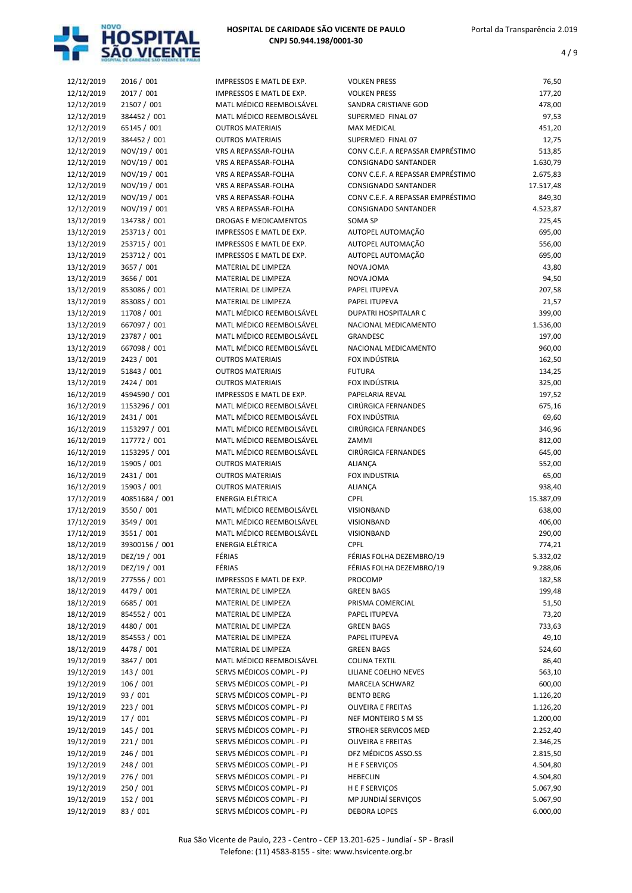

| 12/12/2019 | 2016 / 001     | IMPRESSOS E MATL DE EXP.     | <b>VOLKEN PRESS</b>               | 76,50     |
|------------|----------------|------------------------------|-----------------------------------|-----------|
| 12/12/2019 | 2017 / 001     | IMPRESSOS E MATL DE EXP.     | <b>VOLKEN PRESS</b>               | 177,20    |
| 12/12/2019 | 21507 / 001    | MATL MÉDICO REEMBOLSÁVEL     | SANDRA CRISTIANE GOD              | 478,00    |
| 12/12/2019 | 384452 / 001   | MATL MÉDICO REEMBOLSÁVEL     | SUPERMED FINAL 07                 | 97,53     |
| 12/12/2019 | 65145 / 001    | <b>OUTROS MATERIAIS</b>      | <b>MAX MEDICAL</b>                | 451,20    |
| 12/12/2019 | 384452 / 001   | <b>OUTROS MATERIAIS</b>      | SUPERMED FINAL 07                 | 12,75     |
| 12/12/2019 | NOV/19 / 001   | VRS A REPASSAR-FOLHA         | CONV C.E.F. A REPASSAR EMPRÉSTIMO | 513,85    |
| 12/12/2019 | NOV/19 / 001   | VRS A REPASSAR-FOLHA         | CONSIGNADO SANTANDER              | 1.630,79  |
| 12/12/2019 | NOV/19 / 001   | VRS A REPASSAR-FOLHA         | CONV C.E.F. A REPASSAR EMPRÉSTIMO | 2.675,83  |
| 12/12/2019 | NOV/19 / 001   | VRS A REPASSAR-FOLHA         | CONSIGNADO SANTANDER              | 17.517,48 |
| 12/12/2019 | NOV/19 / 001   | <b>VRS A REPASSAR-FOLHA</b>  | CONV C.E.F. A REPASSAR EMPRÉSTIMO | 849,30    |
| 12/12/2019 | NOV/19 / 001   | VRS A REPASSAR-FOLHA         | CONSIGNADO SANTANDER              | 4.523,87  |
| 13/12/2019 | 134738 / 001   | <b>DROGAS E MEDICAMENTOS</b> | <b>SOMA SP</b>                    | 225,45    |
| 13/12/2019 | 253713 / 001   | IMPRESSOS E MATL DE EXP.     | AUTOPEL AUTOMAÇÃO                 | 695,00    |
| 13/12/2019 | 253715 / 001   | IMPRESSOS E MATL DE EXP.     | AUTOPEL AUTOMAÇÃO                 | 556,00    |
| 13/12/2019 | 253712 / 001   | IMPRESSOS E MATL DE EXP.     | AUTOPEL AUTOMAÇÃO                 | 695,00    |
|            | 3657 / 001     | MATERIAL DE LIMPEZA          | NOVA JOMA                         |           |
| 13/12/2019 |                |                              |                                   | 43,80     |
| 13/12/2019 | 3656 / 001     | MATERIAL DE LIMPEZA          | NOVA JOMA                         | 94,50     |
| 13/12/2019 | 853086 / 001   | MATERIAL DE LIMPEZA          | PAPEL ITUPEVA                     | 207,58    |
| 13/12/2019 | 853085 / 001   | MATERIAL DE LIMPEZA          | PAPEL ITUPEVA                     | 21,57     |
| 13/12/2019 | 11708 / 001    | MATL MÉDICO REEMBOLSÁVEL     | DUPATRI HOSPITALAR C              | 399,00    |
| 13/12/2019 | 667097 / 001   | MATL MÉDICO REEMBOLSÁVEL     | NACIONAL MEDICAMENTO              | 1.536,00  |
| 13/12/2019 | 23787 / 001    | MATL MÉDICO REEMBOLSÁVEL     | GRANDESC                          | 197,00    |
| 13/12/2019 | 667098 / 001   | MATL MÉDICO REEMBOLSÁVEL     | NACIONAL MEDICAMENTO              | 960,00    |
| 13/12/2019 | 2423 / 001     | <b>OUTROS MATERIAIS</b>      | FOX INDÚSTRIA                     | 162,50    |
| 13/12/2019 | 51843 / 001    | <b>OUTROS MATERIAIS</b>      | <b>FUTURA</b>                     | 134,25    |
| 13/12/2019 | 2424 / 001     | <b>OUTROS MATERIAIS</b>      | FOX INDÚSTRIA                     | 325,00    |
| 16/12/2019 | 4594590 / 001  | IMPRESSOS E MATL DE EXP.     | PAPELARIA REVAL                   | 197,52    |
| 16/12/2019 | 1153296 / 001  | MATL MÉDICO REEMBOLSÁVEL     | CIRÚRGICA FERNANDES               | 675,16    |
| 16/12/2019 | 2431 / 001     | MATL MÉDICO REEMBOLSÁVEL     | FOX INDÚSTRIA                     | 69,60     |
| 16/12/2019 | 1153297 / 001  | MATL MÉDICO REEMBOLSÁVEL     | CIRÚRGICA FERNANDES               | 346,96    |
| 16/12/2019 | 117772 / 001   | MATL MÉDICO REEMBOLSÁVEL     | ZAMMI                             | 812,00    |
| 16/12/2019 | 1153295 / 001  | MATL MÉDICO REEMBOLSÁVEL     | CIRÚRGICA FERNANDES               | 645,00    |
| 16/12/2019 | 15905 / 001    | <b>OUTROS MATERIAIS</b>      | <b>ALIANÇA</b>                    | 552,00    |
| 16/12/2019 | 2431 / 001     | <b>OUTROS MATERIAIS</b>      | <b>FOX INDUSTRIA</b>              | 65,00     |
| 16/12/2019 | 15903 / 001    | <b>OUTROS MATERIAIS</b>      | ALIANÇA                           | 938,40    |
| 17/12/2019 | 40851684 / 001 | <b>ENERGIA ELÉTRICA</b>      | <b>CPFL</b>                       | 15.387,09 |
| 17/12/2019 | 3550 / 001     | MATL MÉDICO REEMBOLSÁVEL     | VISIONBAND                        | 638,00    |
| 17/12/2019 | 3549 / 001     | MATL MÉDICO REEMBOLSÁVEL     | VISIONBAND                        | 406,00    |
| 17/12/2019 | 3551 / 001     | MATL MÉDICO REEMBOLSÁVEL     | VISIONBAND                        | 290,00    |
| 18/12/2019 | 39300156 / 001 | <b>ENERGIA ELÉTRICA</b>      | <b>CPFL</b>                       | 774,21    |
| 18/12/2019 | DEZ/19 / 001   | FÉRIAS                       | FÉRIAS FOLHA DEZEMBRO/19          | 5.332,02  |
| 18/12/2019 | DEZ/19 / 001   | FÉRIAS                       | FÉRIAS FOLHA DEZEMBRO/19          | 9.288,06  |
| 18/12/2019 | 277556 / 001   | IMPRESSOS E MATL DE EXP.     | PROCOMP                           | 182,58    |
|            | 4479 / 001     | MATERIAL DE LIMPEZA          | <b>GREEN BAGS</b>                 |           |
| 18/12/2019 | 6685 / 001     |                              | PRISMA COMERCIAL                  | 199,48    |
| 18/12/2019 |                | MATERIAL DE LIMPEZA          |                                   | 51,50     |
| 18/12/2019 | 854552 / 001   | MATERIAL DE LIMPEZA          | PAPEL ITUPEVA                     | 73,20     |
| 18/12/2019 | 4480 / 001     | MATERIAL DE LIMPEZA          | <b>GREEN BAGS</b>                 | 733,63    |
| 18/12/2019 | 854553 / 001   | MATERIAL DE LIMPEZA          | PAPEL ITUPEVA                     | 49,10     |
| 18/12/2019 | 4478 / 001     | MATERIAL DE LIMPEZA          | <b>GREEN BAGS</b>                 | 524,60    |
| 19/12/2019 | 3847 / 001     | MATL MÉDICO REEMBOLSÁVEL     | <b>COLINA TEXTIL</b>              | 86,40     |
| 19/12/2019 | 143 / 001      | SERVS MÉDICOS COMPL - PJ     | LILIANE COELHO NEVES              | 563,10    |
| 19/12/2019 | 106 / 001      | SERVS MÉDICOS COMPL - PJ     | MARCELA SCHWARZ                   | 600,00    |
| 19/12/2019 | 93 / 001       | SERVS MÉDICOS COMPL - PJ     | <b>BENTO BERG</b>                 | 1.126,20  |
| 19/12/2019 | 223 / 001      | SERVS MÉDICOS COMPL - PJ     | <b>OLIVEIRA E FREITAS</b>         | 1.126,20  |
| 19/12/2019 | 17 / 001       | SERVS MÉDICOS COMPL - PJ     | NEF MONTEIRO S M SS               | 1.200,00  |
| 19/12/2019 | 145 / 001      | SERVS MÉDICOS COMPL - PJ     | STROHER SERVICOS MED              | 2.252,40  |
| 19/12/2019 | 221/001        | SERVS MÉDICOS COMPL - PJ     | <b>OLIVEIRA E FREITAS</b>         | 2.346,25  |
| 19/12/2019 | 246 / 001      | SERVS MÉDICOS COMPL - PJ     | DFZ MÉDICOS ASSO.SS               | 2.815,50  |
| 19/12/2019 | 248 / 001      | SERVS MÉDICOS COMPL - PJ     | H E F SERVIÇOS                    | 4.504,80  |
| 19/12/2019 | 276 / 001      | SERVS MÉDICOS COMPL - PJ     | <b>HEBECLIN</b>                   | 4.504,80  |
| 19/12/2019 | 250 / 001      | SERVS MÉDICOS COMPL - PJ     | H E F SERVIÇOS                    | 5.067,90  |
| 19/12/2019 | 152 / 001      | SERVS MÉDICOS COMPL - PJ     | MP JUNDIAÍ SERVIÇOS               | 5.067,90  |
| 19/12/2019 | 83 / 001       | SERVS MÉDICOS COMPL - PJ     | <b>DEBORA LOPES</b>               | 6.000,00  |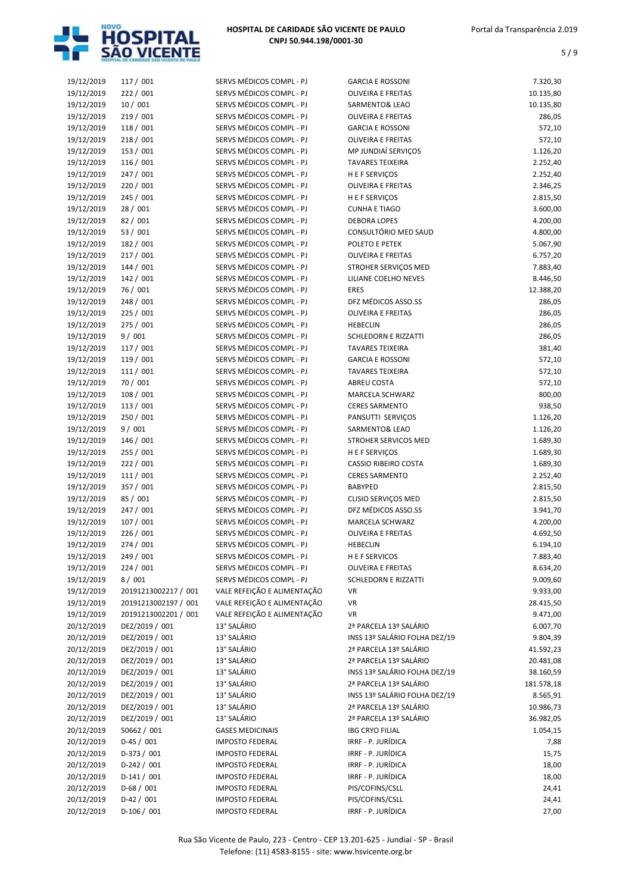

| 19/12/2019 | 117 / 001            | SERVS MÉDICOS COMPL - PJ    | <b>GARCIA E ROSSONI</b>       | 7.320,30   |
|------------|----------------------|-----------------------------|-------------------------------|------------|
| 19/12/2019 | 222 / 001            | SERVS MÉDICOS COMPL - PJ    | <b>OLIVEIRA E FREITAS</b>     | 10.135,80  |
| 19/12/2019 | 10/001               | SERVS MÉDICOS COMPL - PJ    | SARMENTO& LEAO                | 10.135,80  |
| 19/12/2019 | 219 / 001            | SERVS MÉDICOS COMPL - PJ    | <b>OLIVEIRA E FREITAS</b>     | 286,05     |
| 19/12/2019 | 118 / 001            | SERVS MÉDICOS COMPL - PJ    | <b>GARCIA E ROSSONI</b>       | 572,10     |
| 19/12/2019 | 218 / 001            | SERVS MÉDICOS COMPL - PJ    | <b>OLIVEIRA E FREITAS</b>     | 572,10     |
| 19/12/2019 | 153 / 001            | SERVS MÉDICOS COMPL - PJ    | MP JUNDIAÍ SERVIÇOS           | 1.126,20   |
| 19/12/2019 | 116 / 001            | SERVS MÉDICOS COMPL - PJ    | <b>TAVARES TEIXEIRA</b>       | 2.252,40   |
| 19/12/2019 | 247 / 001            | SERVS MÉDICOS COMPL - PJ    | H E F SERVIÇOS                | 2.252,40   |
| 19/12/2019 | 220 / 001            | SERVS MÉDICOS COMPL - PJ    | <b>OLIVEIRA E FREITAS</b>     | 2.346,25   |
| 19/12/2019 | 245 / 001            | SERVS MÉDICOS COMPL - PJ    | H E F SERVIÇOS                | 2.815,50   |
| 19/12/2019 | 28 / 001             | SERVS MÉDICOS COMPL - PJ    | <b>CUNHA E TIAGO</b>          | 3.600,00   |
| 19/12/2019 | 82 / 001             | SERVS MÉDICOS COMPL - PJ    | <b>DEBORA LOPES</b>           | 4.200,00   |
| 19/12/2019 | 53 / 001             | SERVS MÉDICOS COMPL - PJ    | CONSULTÓRIO MED SAUD          | 4.800,00   |
| 19/12/2019 | 182 / 001            | SERVS MÉDICOS COMPL - PJ    | POLETO E PETEK                | 5.067,90   |
| 19/12/2019 | 217 / 001            | SERVS MÉDICOS COMPL - PJ    | <b>OLIVEIRA E FREITAS</b>     | 6.757,20   |
| 19/12/2019 | 144 / 001            | SERVS MÉDICOS COMPL - PJ    | STROHER SERVIÇOS MED          | 7.883,40   |
| 19/12/2019 | 142 / 001            | SERVS MÉDICOS COMPL - PJ    | LILIANE COELHO NEVES          | 8.446,50   |
| 19/12/2019 | 76 / 001             | SERVS MÉDICOS COMPL - PJ    | <b>ERES</b>                   | 12.388,20  |
| 19/12/2019 | 248 / 001            | SERVS MÉDICOS COMPL - PJ    | DFZ MÉDICOS ASSO.SS           | 286,05     |
| 19/12/2019 | 225 / 001            | SERVS MÉDICOS COMPL - PJ    | <b>OLIVEIRA E FREITAS</b>     | 286,05     |
| 19/12/2019 | 275 / 001            | SERVS MÉDICOS COMPL - PJ    | <b>HEBECLIN</b>               | 286,05     |
| 19/12/2019 | 9/001                | SERVS MÉDICOS COMPL - PJ    | SCHLEDORN E RIZZATTI          | 286,05     |
| 19/12/2019 | 117 / 001            | SERVS MÉDICOS COMPL - PJ    | <b>TAVARES TEIXEIRA</b>       | 381,40     |
| 19/12/2019 | 119 / 001            | SERVS MÉDICOS COMPL - PJ    | <b>GARCIA E ROSSONI</b>       | 572,10     |
| 19/12/2019 | 111 / 001            | SERVS MÉDICOS COMPL - PJ    | <b>TAVARES TEIXEIRA</b>       | 572,10     |
| 19/12/2019 | 70 / 001             | SERVS MÉDICOS COMPL - PJ    | ABREU COSTA                   | 572,10     |
| 19/12/2019 | 108 / 001            | SERVS MÉDICOS COMPL - PJ    | MARCELA SCHWARZ               | 800,00     |
| 19/12/2019 | 113 / 001            | SERVS MÉDICOS COMPL - PJ    | <b>CERES SARMENTO</b>         | 938,50     |
| 19/12/2019 | 250 / 001            | SERVS MÉDICOS COMPL - PJ    | PANSUTTI SERVIÇOS             | 1.126,20   |
| 19/12/2019 | 9/001                | SERVS MÉDICOS COMPL - PJ    | SARMENTO& LEAO                | 1.126,20   |
| 19/12/2019 | 146 / 001            | SERVS MÉDICOS COMPL - PJ    | STROHER SERVICOS MED          | 1.689,30   |
| 19/12/2019 | 255 / 001            | SERVS MÉDICOS COMPL - PJ    | H E F SERVIÇOS                | 1.689,30   |
| 19/12/2019 | 222 / 001            | SERVS MÉDICOS COMPL - PJ    | <b>CASSIO RIBEIRO COSTA</b>   | 1.689,30   |
| 19/12/2019 | 111 / 001            | SERVS MÉDICOS COMPL - PJ    | <b>CERES SARMENTO</b>         | 2.252,40   |
| 19/12/2019 | 357 / 001            | SERVS MÉDICOS COMPL - PJ    | <b>BABYPED</b>                | 2.815,50   |
| 19/12/2019 | 85 / 001             | SERVS MÉDICOS COMPL - PJ    | CLISIO SERVIÇOS MED           | 2.815,50   |
| 19/12/2019 | 247 / 001            | SERVS MÉDICOS COMPL - PJ    | DFZ MÉDICOS ASSO.SS           | 3.941,70   |
| 19/12/2019 | 107 / 001            | SERVS MÉDICOS COMPL - PJ    | <b>MARCELA SCHWARZ</b>        | 4.200,00   |
| 19/12/2019 | 226 / 001            | SERVS MÉDICOS COMPL - PJ    | <b>OLIVEIRA E FREITAS</b>     | 4.692,50   |
| 19/12/2019 | 274 / 001            | SERVS MÉDICOS COMPL - PJ    | HEBECLIN                      | 6.194,10   |
| 19/12/2019 | 249 / 001            | SERVS MÉDICOS COMPL - PJ    | H E F SERVICOS                | 7.883,40   |
| 19/12/2019 | 224 / 001            | SERVS MÉDICOS COMPL - PJ    | <b>OLIVEIRA E FREITAS</b>     | 8.634,20   |
| 19/12/2019 | 8/001                | SERVS MÉDICOS COMPL - PJ    | SCHLEDORN E RIZZATTI          | 9.009,60   |
| 19/12/2019 | 20191213002217 / 001 | VALE REFEIÇÃO E ALIMENTAÇÃO | VR                            | 9.933,00   |
| 19/12/2019 | 20191213002197 / 001 | VALE REFEIÇÃO E ALIMENTAÇÃO | VR                            | 28.415,50  |
| 19/12/2019 | 20191213002201 / 001 | VALE REFEIÇÃO E ALIMENTAÇÃO | VR                            | 9.471,00   |
| 20/12/2019 | DEZ/2019 / 001       | 13° SALÁRIO                 | 2ª PARCELA 13º SALÁRIO        | 6.007,70   |
| 20/12/2019 | DEZ/2019 / 001       | 13° SALÁRIO                 | INSS 13º SALÁRIO FOLHA DEZ/19 | 9.804,39   |
| 20/12/2019 | DEZ/2019 / 001       | 13° SALÁRIO                 | 2ª PARCELA 13º SALÁRIO        | 41.592,23  |
| 20/12/2019 | DEZ/2019 / 001       | 13° SALÁRIO                 | 2ª PARCELA 13º SALÁRIO        | 20.481,08  |
| 20/12/2019 | DEZ/2019 / 001       | 13° SALÁRIO                 | INSS 13º SALÁRIO FOLHA DEZ/19 | 38.160,59  |
| 20/12/2019 | DEZ/2019 / 001       | 13° SALÁRIO                 | 2ª PARCELA 13º SALÁRIO        | 181.578,18 |
| 20/12/2019 | DEZ/2019 / 001       | 13° SALÁRIO                 | INSS 13º SALÁRIO FOLHA DEZ/19 | 8.565,91   |
| 20/12/2019 | DEZ/2019 / 001       | 13° SALÁRIO                 | 2ª PARCELA 13º SALÁRIO        | 10.986,73  |
| 20/12/2019 | DEZ/2019 / 001       | 13° SALÁRIO                 | 2ª PARCELA 13º SALÁRIO        | 36.982,05  |
| 20/12/2019 | 50662 / 001          | <b>GASES MEDICINAIS</b>     | <b>IBG CRYO FILIAL</b>        | 1.054,15   |
| 20/12/2019 | $D-45/001$           | <b>IMPOSTO FEDERAL</b>      | IRRF - P. JURÍDICA            | 7,88       |
| 20/12/2019 | D-373 / 001          | <b>IMPOSTO FEDERAL</b>      | IRRF - P. JURÍDICA            | 15,75      |
| 20/12/2019 | $D-242 / 001$        | <b>IMPOSTO FEDERAL</b>      | IRRF - P. JURÍDICA            | 18,00      |
| 20/12/2019 | $D-141/001$          | <b>IMPOSTO FEDERAL</b>      | IRRF - P. JURÍDICA            | 18,00      |
| 20/12/2019 | $D-68/001$           | <b>IMPOSTO FEDERAL</b>      | PIS/COFINS/CSLL               | 24,41      |
| 20/12/2019 | $D-42 / 001$         | <b>IMPOSTO FEDERAL</b>      | PIS/COFINS/CSLL               | 24,41      |
| 20/12/2019 | $D-106/001$          | <b>IMPOSTO FEDERAL</b>      | IRRF - P. JURÍDICA            | 27,00      |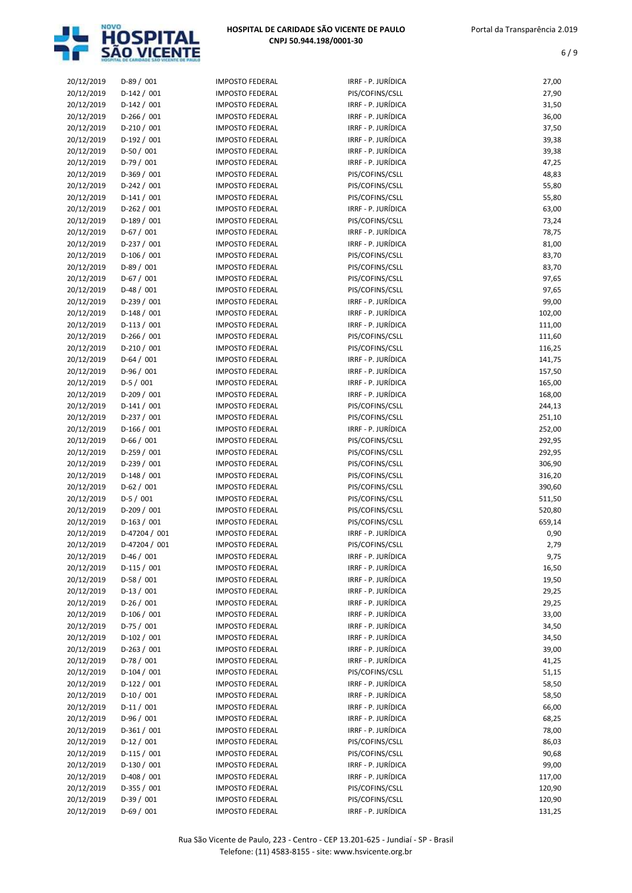

| 20/12/2019 | $D-89/001$    | <b>IMPOSTO FEDERAL</b> | IRRF - P. JURÍDICA | 27,00  |
|------------|---------------|------------------------|--------------------|--------|
| 20/12/2019 | $D-142 / 001$ | <b>IMPOSTO FEDERAL</b> | PIS/COFINS/CSLL    | 27,90  |
| 20/12/2019 | $D-142 / 001$ | <b>IMPOSTO FEDERAL</b> | IRRF - P. JURÍDICA | 31,50  |
| 20/12/2019 | $D-266 / 001$ | <b>IMPOSTO FEDERAL</b> | IRRF - P. JURÍDICA | 36,00  |
| 20/12/2019 | $D-210/001$   | <b>IMPOSTO FEDERAL</b> | IRRF - P. JURÍDICA | 37,50  |
| 20/12/2019 | D-192 / 001   | <b>IMPOSTO FEDERAL</b> | IRRF - P. JURÍDICA | 39,38  |
| 20/12/2019 | $D-50/001$    | <b>IMPOSTO FEDERAL</b> | IRRF - P. JURÍDICA | 39,38  |
| 20/12/2019 | $D-79/001$    | <b>IMPOSTO FEDERAL</b> | IRRF - P. JURÍDICA | 47,25  |
| 20/12/2019 | $D-369/001$   | <b>IMPOSTO FEDERAL</b> | PIS/COFINS/CSLL    | 48,83  |
| 20/12/2019 | $D-242 / 001$ | <b>IMPOSTO FEDERAL</b> | PIS/COFINS/CSLL    | 55,80  |
| 20/12/2019 | $D-141/001$   | <b>IMPOSTO FEDERAL</b> | PIS/COFINS/CSLL    | 55,80  |
| 20/12/2019 | $D-262 / 001$ | <b>IMPOSTO FEDERAL</b> | IRRF - P. JURÍDICA | 63,00  |
| 20/12/2019 | $D-189/001$   | <b>IMPOSTO FEDERAL</b> | PIS/COFINS/CSLL    | 73,24  |
| 20/12/2019 | $D-67/001$    | <b>IMPOSTO FEDERAL</b> | IRRF - P. JURÍDICA | 78,75  |
| 20/12/2019 | $D-237/001$   | <b>IMPOSTO FEDERAL</b> | IRRF - P. JURÍDICA | 81,00  |
| 20/12/2019 | $D-106/001$   | <b>IMPOSTO FEDERAL</b> | PIS/COFINS/CSLL    |        |
|            | $D-89/001$    |                        |                    | 83,70  |
| 20/12/2019 |               | <b>IMPOSTO FEDERAL</b> | PIS/COFINS/CSLL    | 83,70  |
| 20/12/2019 | $D-67/001$    | <b>IMPOSTO FEDERAL</b> | PIS/COFINS/CSLL    | 97,65  |
| 20/12/2019 | $D-48/001$    | <b>IMPOSTO FEDERAL</b> | PIS/COFINS/CSLL    | 97,65  |
| 20/12/2019 | $D-239/001$   | <b>IMPOSTO FEDERAL</b> | IRRF - P. JURÍDICA | 99,00  |
| 20/12/2019 | $D-148/001$   | <b>IMPOSTO FEDERAL</b> | IRRF - P. JURÍDICA | 102,00 |
| 20/12/2019 | $D-113 / 001$ | <b>IMPOSTO FEDERAL</b> | IRRF - P. JURÍDICA | 111,00 |
| 20/12/2019 | $D-266/001$   | <b>IMPOSTO FEDERAL</b> | PIS/COFINS/CSLL    | 111,60 |
| 20/12/2019 | $D-210/001$   | <b>IMPOSTO FEDERAL</b> | PIS/COFINS/CSLL    | 116,25 |
| 20/12/2019 | $D-64/001$    | <b>IMPOSTO FEDERAL</b> | IRRF - P. JURÍDICA | 141,75 |
| 20/12/2019 | $D-96/001$    | <b>IMPOSTO FEDERAL</b> | IRRF - P. JURÍDICA | 157,50 |
| 20/12/2019 | $D-5/001$     | <b>IMPOSTO FEDERAL</b> | IRRF - P. JURÍDICA | 165,00 |
| 20/12/2019 | $D-209/001$   | <b>IMPOSTO FEDERAL</b> | IRRF - P. JURÍDICA | 168,00 |
| 20/12/2019 | $D-141/001$   | <b>IMPOSTO FEDERAL</b> | PIS/COFINS/CSLL    | 244,13 |
| 20/12/2019 | D-237 / 001   | <b>IMPOSTO FEDERAL</b> | PIS/COFINS/CSLL    | 251,10 |
| 20/12/2019 | $D-166/001$   | <b>IMPOSTO FEDERAL</b> | IRRF - P. JURÍDICA | 252,00 |
| 20/12/2019 | $D-66/001$    | <b>IMPOSTO FEDERAL</b> | PIS/COFINS/CSLL    | 292,95 |
| 20/12/2019 | $D-259/001$   | <b>IMPOSTO FEDERAL</b> | PIS/COFINS/CSLL    | 292,95 |
| 20/12/2019 | $D-239/001$   | <b>IMPOSTO FEDERAL</b> | PIS/COFINS/CSLL    | 306,90 |
| 20/12/2019 | $D-148/001$   | <b>IMPOSTO FEDERAL</b> | PIS/COFINS/CSLL    | 316,20 |
| 20/12/2019 | $D-62 / 001$  | <b>IMPOSTO FEDERAL</b> | PIS/COFINS/CSLL    | 390,60 |
| 20/12/2019 | $D-5/001$     | <b>IMPOSTO FEDERAL</b> | PIS/COFINS/CSLL    | 511,50 |
| 20/12/2019 | $D-209/001$   | <b>IMPOSTO FEDERAL</b> | PIS/COFINS/CSLL    | 520,80 |
| 20/12/2019 | $D-163 / 001$ | <b>IMPOSTO FEDERAL</b> | PIS/COFINS/CSLL    | 659,14 |
| 20/12/2019 | D-47204 / 001 | <b>IMPOSTO FEDERAL</b> | IRRF - P. JURÍDICA | 0,90   |
| 20/12/2019 | D-47204 / 001 | <b>IMPOSTO FEDERAL</b> | PIS/COFINS/CSLL    | 2,79   |
| 20/12/2019 | $D-46/001$    | <b>IMPOSTO FEDERAL</b> | IRRF - P. JURÍDICA | 9,75   |
| 20/12/2019 | $D-115/001$   | <b>IMPOSTO FEDERAL</b> | IRRF - P. JURÍDICA | 16,50  |
| 20/12/2019 | $D-58/001$    | <b>IMPOSTO FEDERAL</b> | IRRF - P. JURÍDICA | 19,50  |
| 20/12/2019 | $D-13/001$    | <b>IMPOSTO FEDERAL</b> | IRRF - P. JURÍDICA | 29,25  |
| 20/12/2019 | $D-26/001$    | <b>IMPOSTO FEDERAL</b> | IRRF - P. JURÍDICA | 29,25  |
| 20/12/2019 | $D-106/001$   | <b>IMPOSTO FEDERAL</b> | IRRF - P. JURÍDICA | 33,00  |
| 20/12/2019 | $D-75/001$    | <b>IMPOSTO FEDERAL</b> | IRRF - P. JURÍDICA | 34,50  |
| 20/12/2019 | $D-102 / 001$ | <b>IMPOSTO FEDERAL</b> | IRRF - P. JURÍDICA | 34,50  |
| 20/12/2019 | $D-263 / 001$ | <b>IMPOSTO FEDERAL</b> | IRRF - P. JURÍDICA | 39,00  |
| 20/12/2019 | $D-78/001$    | <b>IMPOSTO FEDERAL</b> | IRRF - P. JURÍDICA | 41,25  |
| 20/12/2019 | $D-104/001$   | <b>IMPOSTO FEDERAL</b> | PIS/COFINS/CSLL    | 51,15  |
| 20/12/2019 | D-122 / 001   | <b>IMPOSTO FEDERAL</b> | IRRF - P. JURÍDICA | 58,50  |
| 20/12/2019 | $D-10/001$    | <b>IMPOSTO FEDERAL</b> | IRRF - P. JURÍDICA | 58,50  |
|            |               |                        | IRRF - P. JURÍDICA |        |
| 20/12/2019 | $D-11/001$    | <b>IMPOSTO FEDERAL</b> | IRRF - P. JURÍDICA | 66,00  |
| 20/12/2019 | $D-96/001$    | <b>IMPOSTO FEDERAL</b> |                    | 68,25  |
| 20/12/2019 | $D-361/001$   | <b>IMPOSTO FEDERAL</b> | IRRF - P. JURÍDICA | 78,00  |
| 20/12/2019 | $D-12/001$    | <b>IMPOSTO FEDERAL</b> | PIS/COFINS/CSLL    | 86,03  |
| 20/12/2019 | $D-115/001$   | <b>IMPOSTO FEDERAL</b> | PIS/COFINS/CSLL    | 90,68  |
| 20/12/2019 | $D-130/001$   | <b>IMPOSTO FEDERAL</b> | IRRF - P. JURÍDICA | 99,00  |
| 20/12/2019 | $D-408/001$   | <b>IMPOSTO FEDERAL</b> | IRRF - P. JURÍDICA | 117,00 |
| 20/12/2019 | $D-355 / 001$ | IMPOSTO FEDERAL        | PIS/COFINS/CSLL    | 120,90 |
| 20/12/2019 | $D-39/001$    | <b>IMPOSTO FEDERAL</b> | PIS/COFINS/CSLL    | 120,90 |
| 20/12/2019 | $D-69/001$    | <b>IMPOSTO FEDERAL</b> | IRRF - P. JURÍDICA | 131,25 |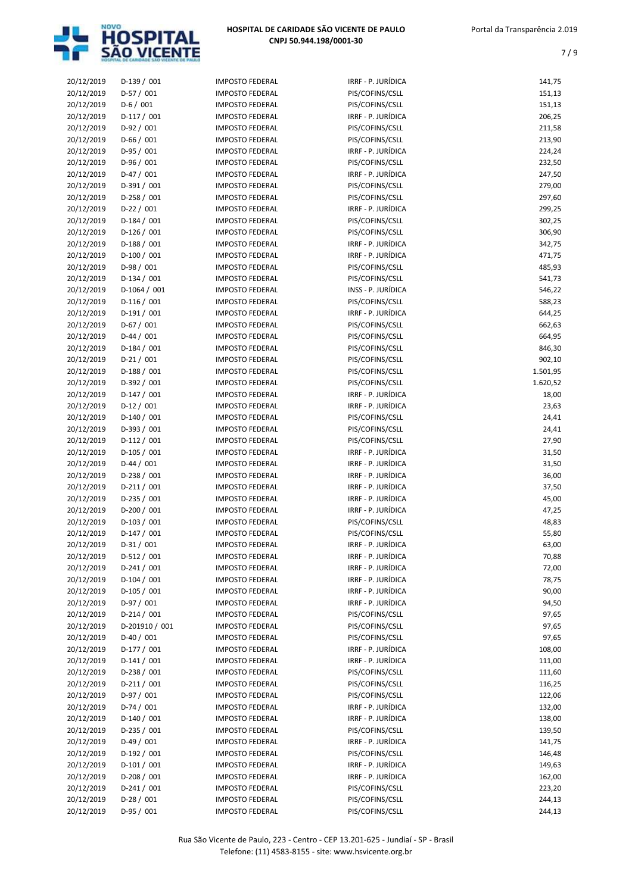

| 20/12/2019 | $D-139/001$    | <b>IMPOSTO FEDERAL</b>                           | IRRF - P. JURÍDICA | 141,75   |
|------------|----------------|--------------------------------------------------|--------------------|----------|
| 20/12/2019 | D-57 / 001     | <b>IMPOSTO FEDERAL</b>                           | PIS/COFINS/CSLL    | 151,13   |
| 20/12/2019 | $D-6/001$      | <b>IMPOSTO FEDERAL</b>                           | PIS/COFINS/CSLL    | 151,13   |
| 20/12/2019 | $D-117/001$    | <b>IMPOSTO FEDERAL</b>                           | IRRF - P. JURÍDICA | 206,25   |
| 20/12/2019 | $D-92/001$     | <b>IMPOSTO FEDERAL</b>                           | PIS/COFINS/CSLL    | 211,58   |
| 20/12/2019 | $D-66/001$     | <b>IMPOSTO FEDERAL</b>                           | PIS/COFINS/CSLL    | 213,90   |
| 20/12/2019 | $D-95/001$     | <b>IMPOSTO FEDERAL</b>                           | IRRF - P. JURÍDICA | 224,24   |
| 20/12/2019 | $D-96/001$     | <b>IMPOSTO FEDERAL</b>                           | PIS/COFINS/CSLL    | 232,50   |
| 20/12/2019 | $D-47/001$     | <b>IMPOSTO FEDERAL</b>                           | IRRF - P. JURÍDICA | 247,50   |
| 20/12/2019 | $D-391/001$    | <b>IMPOSTO FEDERAL</b>                           | PIS/COFINS/CSLL    | 279,00   |
| 20/12/2019 | $D-258/001$    | <b>IMPOSTO FEDERAL</b>                           | PIS/COFINS/CSLL    | 297,60   |
| 20/12/2019 | $D-22/001$     | <b>IMPOSTO FEDERAL</b>                           | IRRF - P. JURÍDICA | 299,25   |
| 20/12/2019 | $D-184/001$    | <b>IMPOSTO FEDERAL</b>                           | PIS/COFINS/CSLL    | 302,25   |
| 20/12/2019 | $D-126 / 001$  | <b>IMPOSTO FEDERAL</b>                           | PIS/COFINS/CSLL    | 306,90   |
| 20/12/2019 | $D-188/001$    | <b>IMPOSTO FEDERAL</b>                           | IRRF - P. JURÍDICA | 342,75   |
| 20/12/2019 | $D-100/001$    | <b>IMPOSTO FEDERAL</b>                           | IRRF - P. JURÍDICA | 471,75   |
| 20/12/2019 | D-98 / 001     | <b>IMPOSTO FEDERAL</b>                           | PIS/COFINS/CSLL    | 485,93   |
| 20/12/2019 | $D-134 / 001$  | <b>IMPOSTO FEDERAL</b>                           | PIS/COFINS/CSLL    | 541,73   |
|            |                |                                                  | INSS - P. JURÍDICA |          |
| 20/12/2019 | $D-1064 / 001$ | <b>IMPOSTO FEDERAL</b><br><b>IMPOSTO FEDERAL</b> | PIS/COFINS/CSLL    | 546,22   |
| 20/12/2019 | $D-116/001$    |                                                  |                    | 588,23   |
| 20/12/2019 | $D-191/001$    | <b>IMPOSTO FEDERAL</b>                           | IRRF - P. JURÍDICA | 644,25   |
| 20/12/2019 | $D-67/001$     | <b>IMPOSTO FEDERAL</b>                           | PIS/COFINS/CSLL    | 662,63   |
| 20/12/2019 | $D-44 / 001$   | <b>IMPOSTO FEDERAL</b>                           | PIS/COFINS/CSLL    | 664,95   |
| 20/12/2019 | $D-184 / 001$  | <b>IMPOSTO FEDERAL</b>                           | PIS/COFINS/CSLL    | 846,30   |
| 20/12/2019 | $D-21/001$     | <b>IMPOSTO FEDERAL</b>                           | PIS/COFINS/CSLL    | 902,10   |
| 20/12/2019 | $D-188/001$    | <b>IMPOSTO FEDERAL</b>                           | PIS/COFINS/CSLL    | 1.501,95 |
| 20/12/2019 | D-392 / 001    | <b>IMPOSTO FEDERAL</b>                           | PIS/COFINS/CSLL    | 1.620,52 |
| 20/12/2019 | $D-147/001$    | <b>IMPOSTO FEDERAL</b>                           | IRRF - P. JURÍDICA | 18,00    |
| 20/12/2019 | $D-12/001$     | <b>IMPOSTO FEDERAL</b>                           | IRRF - P. JURÍDICA | 23,63    |
| 20/12/2019 | $D-140/001$    | <b>IMPOSTO FEDERAL</b>                           | PIS/COFINS/CSLL    | 24,41    |
| 20/12/2019 | D-393 / 001    | <b>IMPOSTO FEDERAL</b>                           | PIS/COFINS/CSLL    | 24,41    |
| 20/12/2019 | $D-112 / 001$  | <b>IMPOSTO FEDERAL</b>                           | PIS/COFINS/CSLL    | 27,90    |
| 20/12/2019 | $D-105/001$    | <b>IMPOSTO FEDERAL</b>                           | IRRF - P. JURÍDICA | 31,50    |
| 20/12/2019 | $D-44 / 001$   | <b>IMPOSTO FEDERAL</b>                           | IRRF - P. JURÍDICA | 31,50    |
| 20/12/2019 | $D-238 / 001$  | <b>IMPOSTO FEDERAL</b>                           | IRRF - P. JURÍDICA | 36,00    |
| 20/12/2019 | $D-211/001$    | <b>IMPOSTO FEDERAL</b>                           | IRRF - P. JURÍDICA | 37,50    |
| 20/12/2019 | D-235 / 001    | <b>IMPOSTO FEDERAL</b>                           | IRRF - P. JURÍDICA | 45,00    |
| 20/12/2019 | $D-200 / 001$  | <b>IMPOSTO FEDERAL</b>                           | IRRF - P. JURÍDICA | 47,25    |
| 20/12/2019 | $D-103 / 001$  | <b>IMPOSTO FEDERAL</b>                           | PIS/COFINS/CSLL    | 48,83    |
| 20/12/2019 | $D-147/001$    | <b>IMPOSTO FEDERAL</b>                           | PIS/COFINS/CSLL    | 55,80    |
| 20/12/2019 | $D-31/001$     | <b>IMPOSTO FEDERAL</b>                           | IRRF - P. JURÍDICA | 63,00    |
| 20/12/2019 | $D-512/001$    | <b>IMPOSTO FEDERAL</b>                           | IRRF - P. JURÍDICA | 70,88    |
| 20/12/2019 | $D-241/001$    | <b>IMPOSTO FEDERAL</b>                           | IRRF - P. JURÍDICA | 72,00    |
| 20/12/2019 | $D-104 / 001$  | <b>IMPOSTO FEDERAL</b>                           | IRRF - P. JURÍDICA | 78,75    |
| 20/12/2019 | D-105 / 001    | <b>IMPOSTO FEDERAL</b>                           | IRRF - P. JURÍDICA | 90,00    |
| 20/12/2019 | D-97 / 001     | <b>IMPOSTO FEDERAL</b>                           | IRRF - P. JURÍDICA | 94,50    |
| 20/12/2019 | $D-214/001$    | <b>IMPOSTO FEDERAL</b>                           | PIS/COFINS/CSLL    | 97,65    |
| 20/12/2019 | D-201910 / 001 | IMPOSTO FEDERAL                                  | PIS/COFINS/CSLL    | 97,65    |
| 20/12/2019 | $D-40/001$     | <b>IMPOSTO FEDERAL</b>                           | PIS/COFINS/CSLL    | 97,65    |
| 20/12/2019 | $D-177/001$    | <b>IMPOSTO FEDERAL</b>                           | IRRF - P. JURÍDICA | 108,00   |
| 20/12/2019 | $D-141/001$    | <b>IMPOSTO FEDERAL</b>                           | IRRF - P. JURÍDICA | 111,00   |
| 20/12/2019 | D-238 / 001    | <b>IMPOSTO FEDERAL</b>                           | PIS/COFINS/CSLL    | 111,60   |
| 20/12/2019 | $D-211/001$    | <b>IMPOSTO FEDERAL</b>                           | PIS/COFINS/CSLL    | 116,25   |
| 20/12/2019 | $D-97/001$     | <b>IMPOSTO FEDERAL</b>                           | PIS/COFINS/CSLL    | 122,06   |
| 20/12/2019 | $D-74/001$     | <b>IMPOSTO FEDERAL</b>                           | IRRF - P. JURÍDICA | 132,00   |
| 20/12/2019 | $D-140/001$    | IMPOSTO FEDERAL                                  | IRRF - P. JURÍDICA | 138,00   |
| 20/12/2019 | $D-235 / 001$  | <b>IMPOSTO FEDERAL</b>                           | PIS/COFINS/CSLL    | 139,50   |
|            |                |                                                  |                    |          |
| 20/12/2019 | $D-49/001$     | <b>IMPOSTO FEDERAL</b>                           | IRRF - P. JURÍDICA | 141,75   |
| 20/12/2019 | $D-192/001$    | <b>IMPOSTO FEDERAL</b>                           | PIS/COFINS/CSLL    | 146,48   |
| 20/12/2019 | $D-101/001$    | <b>IMPOSTO FEDERAL</b>                           | IRRF - P. JURÍDICA | 149,63   |
| 20/12/2019 | $D-208/001$    | IMPOSTO FEDERAL                                  | IRRF - P. JURÍDICA | 162,00   |
| 20/12/2019 | $D-241/001$    | IMPOSTO FEDERAL                                  | PIS/COFINS/CSLL    | 223,20   |
| 20/12/2019 | $D-28/001$     | <b>IMPOSTO FEDERAL</b>                           | PIS/COFINS/CSLL    | 244,13   |
| 20/12/2019 | $D-95/001$     | <b>IMPOSTO FEDERAL</b>                           | PIS/COFINS/CSLL    | 244,13   |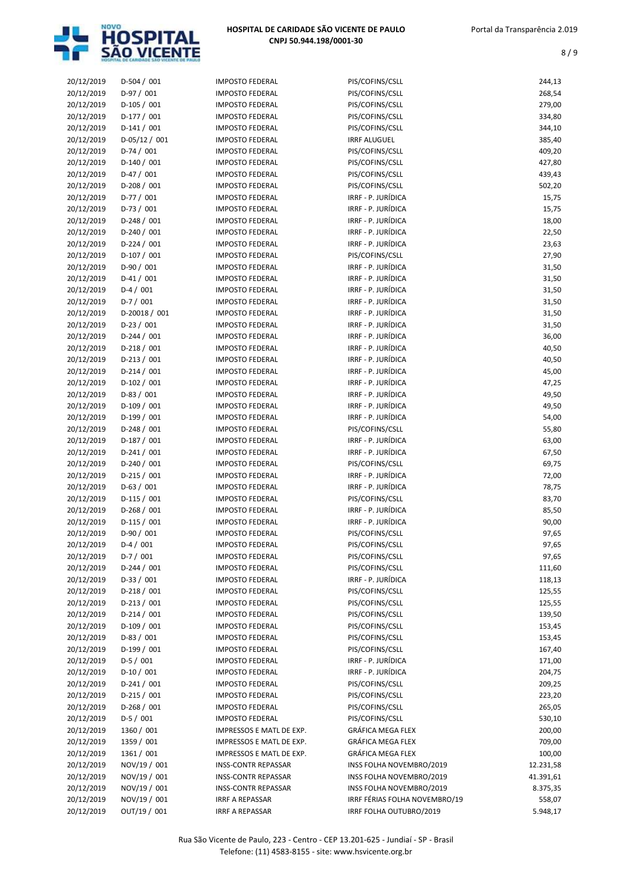

| 20/12/2019 | $D-504 / 001$ | <b>IMPOSTO FEDERAL</b>     | PIS/COFINS/CSLL               | 244,13    |
|------------|---------------|----------------------------|-------------------------------|-----------|
| 20/12/2019 | $D-97/001$    | <b>IMPOSTO FEDERAL</b>     | PIS/COFINS/CSLL               | 268,54    |
| 20/12/2019 | $D-105/001$   | <b>IMPOSTO FEDERAL</b>     | PIS/COFINS/CSLL               | 279,00    |
| 20/12/2019 | $D-177/001$   | <b>IMPOSTO FEDERAL</b>     | PIS/COFINS/CSLL               | 334,80    |
| 20/12/2019 | $D-141/001$   | <b>IMPOSTO FEDERAL</b>     | PIS/COFINS/CSLL               | 344,10    |
| 20/12/2019 | $D-05/12/001$ | <b>IMPOSTO FEDERAL</b>     | <b>IRRF ALUGUEL</b>           | 385,40    |
| 20/12/2019 | $D-74/001$    | <b>IMPOSTO FEDERAL</b>     | PIS/COFINS/CSLL               | 409,20    |
| 20/12/2019 | $D-140/001$   | <b>IMPOSTO FEDERAL</b>     | PIS/COFINS/CSLL               | 427,80    |
| 20/12/2019 | $D-47/001$    | <b>IMPOSTO FEDERAL</b>     | PIS/COFINS/CSLL               | 439,43    |
| 20/12/2019 | $D-208/001$   | <b>IMPOSTO FEDERAL</b>     | PIS/COFINS/CSLL               | 502,20    |
| 20/12/2019 | $D-77/001$    | <b>IMPOSTO FEDERAL</b>     | IRRF - P. JURÍDICA            | 15,75     |
| 20/12/2019 | $D-73/001$    | <b>IMPOSTO FEDERAL</b>     | IRRF - P. JURÍDICA            | 15,75     |
| 20/12/2019 | $D-248/001$   | <b>IMPOSTO FEDERAL</b>     | IRRF - P. JURÍDICA            | 18,00     |
| 20/12/2019 | $D-240 / 001$ | <b>IMPOSTO FEDERAL</b>     | IRRF - P. JURÍDICA            | 22,50     |
| 20/12/2019 | $D-224 / 001$ | <b>IMPOSTO FEDERAL</b>     | IRRF - P. JURÍDICA            | 23,63     |
| 20/12/2019 | $D-107/001$   | <b>IMPOSTO FEDERAL</b>     | PIS/COFINS/CSLL               | 27,90     |
| 20/12/2019 | $D-90/001$    | <b>IMPOSTO FEDERAL</b>     | IRRF - P. JURÍDICA            | 31,50     |
| 20/12/2019 | $D-41/001$    | <b>IMPOSTO FEDERAL</b>     | IRRF - P. JURÍDICA            | 31,50     |
| 20/12/2019 | $D-4/001$     | <b>IMPOSTO FEDERAL</b>     | IRRF - P. JURÍDICA            | 31,50     |
| 20/12/2019 | $D-7/001$     | <b>IMPOSTO FEDERAL</b>     | IRRF - P. JURÍDICA            | 31,50     |
|            | D-20018 / 001 | <b>IMPOSTO FEDERAL</b>     | IRRF - P. JURÍDICA            |           |
| 20/12/2019 |               |                            | IRRF - P. JURÍDICA            | 31,50     |
| 20/12/2019 | $D-23/001$    | <b>IMPOSTO FEDERAL</b>     |                               | 31,50     |
| 20/12/2019 | $D-244 / 001$ | <b>IMPOSTO FEDERAL</b>     | IRRF - P. JURÍDICA            | 36,00     |
| 20/12/2019 | $D-218/001$   | <b>IMPOSTO FEDERAL</b>     | IRRF - P. JURÍDICA            | 40,50     |
| 20/12/2019 | $D-213 / 001$ | <b>IMPOSTO FEDERAL</b>     | IRRF - P. JURÍDICA            | 40,50     |
| 20/12/2019 | $D-214/001$   | <b>IMPOSTO FEDERAL</b>     | IRRF - P. JURÍDICA            | 45,00     |
| 20/12/2019 | $D-102 / 001$ | <b>IMPOSTO FEDERAL</b>     | IRRF - P. JURÍDICA            | 47,25     |
| 20/12/2019 | D-83 / 001    | <b>IMPOSTO FEDERAL</b>     | IRRF - P. JURÍDICA            | 49,50     |
| 20/12/2019 | $D-109/001$   | <b>IMPOSTO FEDERAL</b>     | IRRF - P. JURÍDICA            | 49,50     |
| 20/12/2019 | $D-199/001$   | <b>IMPOSTO FEDERAL</b>     | IRRF - P. JURÍDICA            | 54,00     |
| 20/12/2019 | $D-248/001$   | <b>IMPOSTO FEDERAL</b>     | PIS/COFINS/CSLL               | 55,80     |
| 20/12/2019 | $D-187/001$   | <b>IMPOSTO FEDERAL</b>     | IRRF - P. JURÍDICA            | 63,00     |
| 20/12/2019 | $D-241/001$   | <b>IMPOSTO FEDERAL</b>     | IRRF - P. JURÍDICA            | 67,50     |
| 20/12/2019 | $D-240 / 001$ | <b>IMPOSTO FEDERAL</b>     | PIS/COFINS/CSLL               | 69,75     |
| 20/12/2019 | $D-215/001$   | <b>IMPOSTO FEDERAL</b>     | IRRF - P. JURÍDICA            | 72,00     |
| 20/12/2019 | $D-63 / 001$  | <b>IMPOSTO FEDERAL</b>     | IRRF - P. JURÍDICA            | 78,75     |
| 20/12/2019 | $D-115/001$   | <b>IMPOSTO FEDERAL</b>     | PIS/COFINS/CSLL               | 83,70     |
| 20/12/2019 | D-268 / 001   | <b>IMPOSTO FEDERAL</b>     | IRRF - P. JURÍDICA            | 85,50     |
| 20/12/2019 | $D-115/001$   | <b>IMPOSTO FEDERAL</b>     | IRRF - P. JURÍDICA            | 90,00     |
| 20/12/2019 | $D-90/001$    | <b>IMPOSTO FEDERAL</b>     | PIS/COFINS/CSLL               | 97,65     |
| 20/12/2019 | $D-4/001$     | <b>IMPOSTO FEDERAL</b>     | PIS/COFINS/CSLL               | 97,65     |
| 20/12/2019 | $D-7/001$     | <b>IMPOSTO FEDERAL</b>     | PIS/COFINS/CSLL               | 97,65     |
| 20/12/2019 | $D-244 / 001$ | <b>IMPOSTO FEDERAL</b>     | PIS/COFINS/CSLL               | 111,60    |
| 20/12/2019 | $D-33 / 001$  | <b>IMPOSTO FEDERAL</b>     | IRRF - P. JURÍDICA            | 118,13    |
| 20/12/2019 | $D-218/001$   | <b>IMPOSTO FEDERAL</b>     | PIS/COFINS/CSLL               | 125,55    |
| 20/12/2019 | $D-213 / 001$ | <b>IMPOSTO FEDERAL</b>     | PIS/COFINS/CSLL               | 125,55    |
| 20/12/2019 | $D-214/001$   | <b>IMPOSTO FEDERAL</b>     | PIS/COFINS/CSLL               | 139,50    |
| 20/12/2019 | D-109 / 001   | <b>IMPOSTO FEDERAL</b>     | PIS/COFINS/CSLL               | 153,45    |
| 20/12/2019 | $D-83/001$    | <b>IMPOSTO FEDERAL</b>     | PIS/COFINS/CSLL               | 153,45    |
| 20/12/2019 | $D-199/001$   | <b>IMPOSTO FEDERAL</b>     | PIS/COFINS/CSLL               | 167,40    |
| 20/12/2019 | $D-5/001$     | <b>IMPOSTO FEDERAL</b>     | IRRF - P. JURÍDICA            | 171,00    |
| 20/12/2019 | $D-10/001$    | <b>IMPOSTO FEDERAL</b>     | IRRF - P. JURÍDICA            | 204,75    |
| 20/12/2019 | $D-241/001$   | <b>IMPOSTO FEDERAL</b>     | PIS/COFINS/CSLL               | 209,25    |
| 20/12/2019 | $D-215/001$   | <b>IMPOSTO FEDERAL</b>     | PIS/COFINS/CSLL               | 223,20    |
| 20/12/2019 | $D-268/001$   | <b>IMPOSTO FEDERAL</b>     | PIS/COFINS/CSLL               | 265,05    |
| 20/12/2019 | $D-5/001$     | <b>IMPOSTO FEDERAL</b>     | PIS/COFINS/CSLL               | 530,10    |
| 20/12/2019 | 1360 / 001    |                            | GRÁFICA MEGA FLEX             |           |
|            |               | IMPRESSOS E MATL DE EXP.   |                               | 200,00    |
| 20/12/2019 | 1359 / 001    | IMPRESSOS E MATL DE EXP.   | GRÁFICA MEGA FLEX             | 709,00    |
| 20/12/2019 | 1361 / 001    | IMPRESSOS E MATL DE EXP.   | GRÁFICA MEGA FLEX             | 100,00    |
| 20/12/2019 | NOV/19 / 001  | <b>INSS-CONTR REPASSAR</b> | INSS FOLHA NOVEMBRO/2019      | 12.231,58 |
| 20/12/2019 | NOV/19 / 001  | <b>INSS-CONTR REPASSAR</b> | INSS FOLHA NOVEMBRO/2019      | 41.391,61 |
| 20/12/2019 | NOV/19 / 001  | <b>INSS-CONTR REPASSAR</b> | INSS FOLHA NOVEMBRO/2019      | 8.375,35  |
| 20/12/2019 | NOV/19 / 001  | IRRF A REPASSAR            | IRRF FÉRIAS FOLHA NOVEMBRO/19 | 558,07    |
| 20/12/2019 | OUT/19 / 001  | <b>IRRF A REPASSAR</b>     | IRRF FOLHA OUTUBRO/2019       | 5.948,17  |